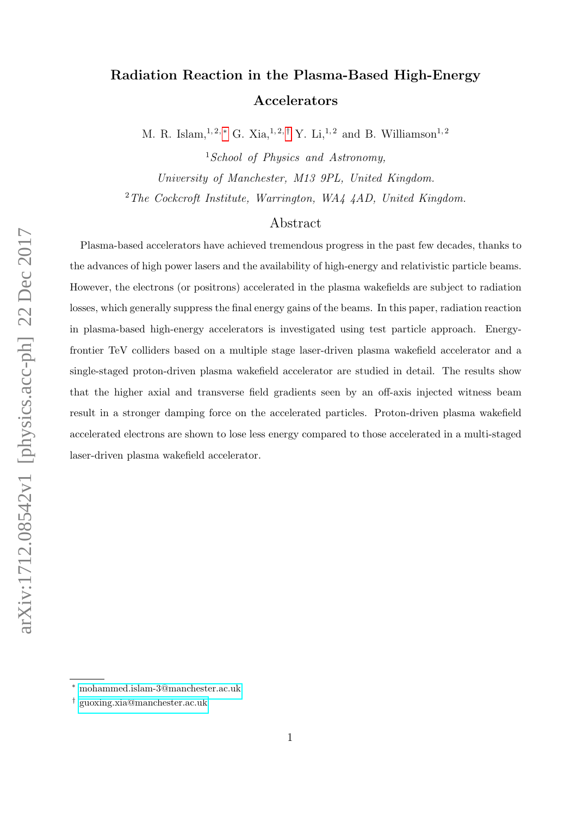# Radiation Reaction in the Plasma-Based High-Energy Accelerators

M. R. Islam,<sup>1,2,\*</sup> G. Xia,<sup>1,2,[†](#page-0-1)</sup> Y. Li,<sup>1,2</sup> and B. Williamson<sup>1,2</sup>

<sup>1</sup>School of Physics and Astronomy. University of Manchester, M13 9PL, United Kingdom. <sup>2</sup>The Cockcroft Institute, Warrington, WA4 4AD, United Kingdom.

# Abstract

Plasma-based accelerators have achieved tremendous progress in the past few decades, thanks to the advances of high power lasers and the availability of high-energy and relativistic particle beams. However, the electrons (or positrons) accelerated in the plasma wakefields are subject to radiation losses, which generally suppress the final energy gains of the beams. In this paper, radiation reaction in plasma-based high-energy accelerators is investigated using test particle approach. Energyfrontier TeV colliders based on a multiple stage laser-driven plasma wakefield accelerator and a single-staged proton-driven plasma wakefield accelerator are studied in detail. The results show that the higher axial and transverse field gradients seen by an off-axis injected witness beam result in a stronger damping force on the accelerated particles. Proton-driven plasma wakefield accelerated electrons are shown to lose less energy compared to those accelerated in a multi-staged laser-driven plasma wakefield accelerator.

<span id="page-0-1"></span><span id="page-0-0"></span><sup>∗</sup> [mohammed.islam-3@manchester.ac.uk](mailto:mohammed.islam-3@manchester.ac.uk)

<sup>†</sup> [guoxing.xia@manchester.ac.uk](mailto:guoxing.xia@manchester.ac.uk)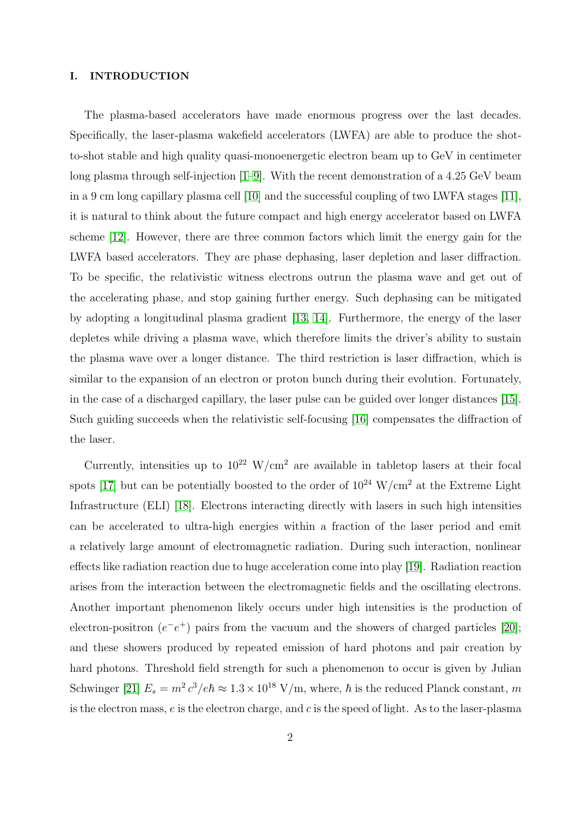## I. INTRODUCTION

The plasma-based accelerators have made enormous progress over the last decades. Specifically, the laser-plasma wakefield accelerators (LWFA) are able to produce the shotto-shot stable and high quality quasi-monoenergetic electron beam up to GeV in centimeter long plasma through self-injection [\[1–](#page-11-0)[9\]](#page-12-0). With the recent demonstration of a 4.25 GeV beam in a 9 cm long capillary plasma cell [\[10\]](#page-12-1) and the successful coupling of two LWFA stages [\[11\]](#page-12-2), it is natural to think about the future compact and high energy accelerator based on LWFA scheme [\[12\]](#page-12-3). However, there are three common factors which limit the energy gain for the LWFA based accelerators. They are phase dephasing, laser depletion and laser diffraction. To be specific, the relativistic witness electrons outrun the plasma wave and get out of the accelerating phase, and stop gaining further energy. Such dephasing can be mitigated by adopting a longitudinal plasma gradient [\[13,](#page-13-0) [14\]](#page-13-1). Furthermore, the energy of the laser depletes while driving a plasma wave, which therefore limits the driver's ability to sustain the plasma wave over a longer distance. The third restriction is laser diffraction, which is similar to the expansion of an electron or proton bunch during their evolution. Fortunately, in the case of a discharged capillary, the laser pulse can be guided over longer distances [\[15\]](#page-13-2). Such guiding succeeds when the relativistic self-focusing [\[16\]](#page-13-3) compensates the diffraction of the laser.

Currently, intensities up to  $10^{22}$  W/cm<sup>2</sup> are available in tabletop lasers at their focal spots [\[17\]](#page-13-4) but can be potentially boosted to the order of  $10^{24}$  W/cm<sup>2</sup> at the Extreme Light Infrastructure (ELI) [\[18\]](#page-13-5). Electrons interacting directly with lasers in such high intensities can be accelerated to ultra-high energies within a fraction of the laser period and emit a relatively large amount of electromagnetic radiation. During such interaction, nonlinear effects like radiation reaction due to huge acceleration come into play [\[19\]](#page-13-6). Radiation reaction arises from the interaction between the electromagnetic fields and the oscillating electrons. Another important phenomenon likely occurs under high intensities is the production of electron-positron  $(e^-e^+)$  pairs from the vacuum and the showers of charged particles [\[20\]](#page-13-7); and these showers produced by repeated emission of hard photons and pair creation by hard photons. Threshold field strength for such a phenomenon to occur is given by Julian Schwinger [\[21\]](#page-13-8)  $E_s = m^2 c^3 / e \hbar \approx 1.3 \times 10^{18} \text{ V/m}$ , where,  $\hbar$  is the reduced Planck constant, m is the electron mass,  $e$  is the electron charge, and  $c$  is the speed of light. As to the laser-plasma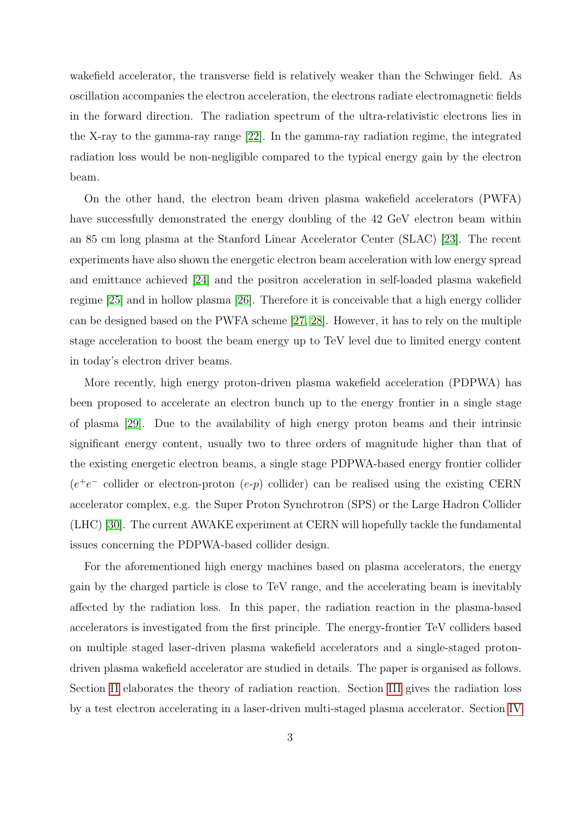wakefield accelerator, the transverse field is relatively weaker than the Schwinger field. As oscillation accompanies the electron acceleration, the electrons radiate electromagnetic fields in the forward direction. The radiation spectrum of the ultra-relativistic electrons lies in the X-ray to the gamma-ray range [\[22\]](#page-13-9). In the gamma-ray radiation regime, the integrated radiation loss would be non-negligible compared to the typical energy gain by the electron beam.

On the other hand, the electron beam driven plasma wakefield accelerators (PWFA) have successfully demonstrated the energy doubling of the 42 GeV electron beam within an 85 cm long plasma at the Stanford Linear Accelerator Center (SLAC) [\[23\]](#page-13-10). The recent experiments have also shown the energetic electron beam acceleration with low energy spread and emittance achieved [\[24\]](#page-13-11) and the positron acceleration in self-loaded plasma wakefield regime [\[25\]](#page-14-0) and in hollow plasma [\[26\]](#page-14-1). Therefore it is conceivable that a high energy collider can be designed based on the PWFA scheme [\[27,](#page-14-2) [28\]](#page-14-3). However, it has to rely on the multiple stage acceleration to boost the beam energy up to TeV level due to limited energy content in today's electron driver beams.

More recently, high energy proton-driven plasma wakefield acceleration (PDPWA) has been proposed to accelerate an electron bunch up to the energy frontier in a single stage of plasma [\[29\]](#page-14-4). Due to the availability of high energy proton beams and their intrinsic significant energy content, usually two to three orders of magnitude higher than that of the existing energetic electron beams, a single stage PDPWA-based energy frontier collider  $(e^+e^-$  collider or electron-proton  $(e-p)$  collider) can be realised using the existing CERN accelerator complex, e.g. the Super Proton Synchrotron (SPS) or the Large Hadron Collider (LHC) [\[30\]](#page-14-5). The current AWAKE experiment at CERN will hopefully tackle the fundamental issues concerning the PDPWA-based collider design.

For the aforementioned high energy machines based on plasma accelerators, the energy gain by the charged particle is close to TeV range, and the accelerating beam is inevitably affected by the radiation loss. In this paper, the radiation reaction in the plasma-based accelerators is investigated from the first principle. The energy-frontier TeV colliders based on multiple staged laser-driven plasma wakefield accelerators and a single-staged protondriven plasma wakefield accelerator are studied in details. The paper is organised as follows. Section [II](#page-3-0) elaborates the theory of radiation reaction. Section [III](#page-4-0) gives the radiation loss by a test electron accelerating in a laser-driven multi-staged plasma accelerator. Section [IV](#page-6-0)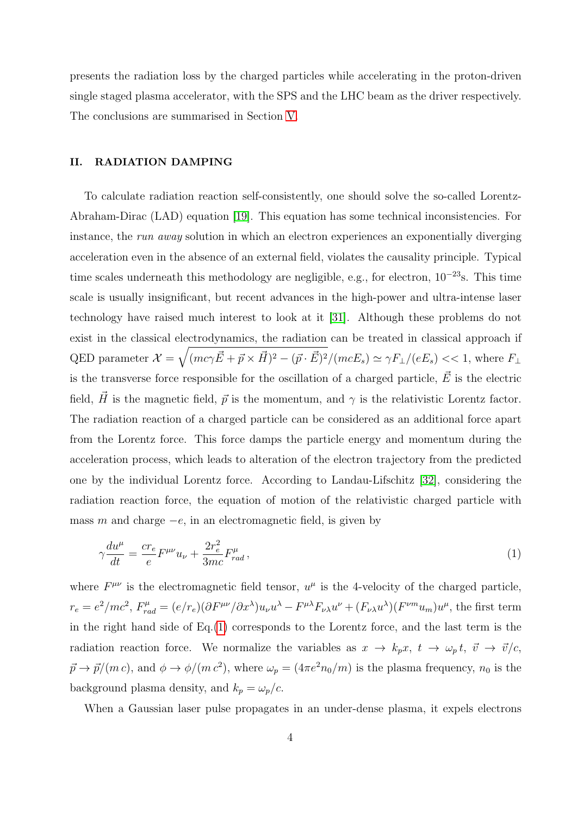presents the radiation loss by the charged particles while accelerating in the proton-driven single staged plasma accelerator, with the SPS and the LHC beam as the driver respectively. The conclusions are summarised in Section [V.](#page-11-1)

### <span id="page-3-0"></span>II. RADIATION DAMPING

To calculate radiation reaction self-consistently, one should solve the so-called Lorentz-Abraham-Dirac (LAD) equation [\[19\]](#page-13-6). This equation has some technical inconsistencies. For instance, the run away solution in which an electron experiences an exponentially diverging acceleration even in the absence of an external field, violates the causality principle. Typical time scales underneath this methodology are negligible, e.g., for electron, 10<sup>−</sup><sup>23</sup>s. This time scale is usually insignificant, but recent advances in the high-power and ultra-intense laser technology have raised much interest to look at it [\[31\]](#page-14-6). Although these problems do not exist in the classical electrodynamics, the radiation can be treated in classical approach if QED parameter  $\mathcal{X} = \sqrt{(mc\gamma \vec{E} + \vec{p} \times \vec{H})^2 - (\vec{p} \cdot \vec{E})^2}/(mcE_s) \simeq \gamma F_{\perp}/(eE_s) << 1$ , where  $F_{\perp}$ is the transverse force responsible for the oscillation of a charged particle,  $\vec{E}$  is the electric field,  $\vec{H}$  is the magnetic field,  $\vec{p}$  is the momentum, and  $\gamma$  is the relativistic Lorentz factor. The radiation reaction of a charged particle can be considered as an additional force apart from the Lorentz force. This force damps the particle energy and momentum during the acceleration process, which leads to alteration of the electron trajectory from the predicted one by the individual Lorentz force. According to Landau-Lifschitz [\[32\]](#page-14-7), considering the radiation reaction force, the equation of motion of the relativistic charged particle with mass m and charge  $-e$ , in an electromagnetic field, is given by

<span id="page-3-1"></span>
$$
\gamma \frac{du^{\mu}}{dt} = \frac{cr_e}{e} F^{\mu\nu} u_{\nu} + \frac{2r_e^2}{3mc} F^{\mu}_{rad} , \qquad (1)
$$

where  $F^{\mu\nu}$  is the electromagnetic field tensor,  $u^{\mu}$  is the 4-velocity of the charged particle,  $r_e = e^2/mc^2$ ,  $F_{rad}^{\mu} = (e/r_e)(\partial F^{\mu\nu}/\partial x^{\lambda})u_{\nu}u^{\lambda} - F^{\mu\lambda}F_{\nu\lambda}u^{\nu} + (F_{\nu\lambda}u^{\lambda})(F^{\nu m}u_m)u^{\mu}$ , the first term in the right hand side of Eq.[\(1\)](#page-3-1) corresponds to the Lorentz force, and the last term is the radiation reaction force. We normalize the variables as  $x \to k_p x$ ,  $t \to \omega_p t$ ,  $\vec{v} \to \vec{v}/c$ ,  $\vec{p} \to \vec{p}/(m c)$ , and  $\phi \to \phi/(m c^2)$ , where  $\omega_p = (4 \pi e^2 n_0/m)$  is the plasma frequency,  $n_0$  is the background plasma density, and  $k_p = \omega_p/c$ .

When a Gaussian laser pulse propagates in an under-dense plasma, it expels electrons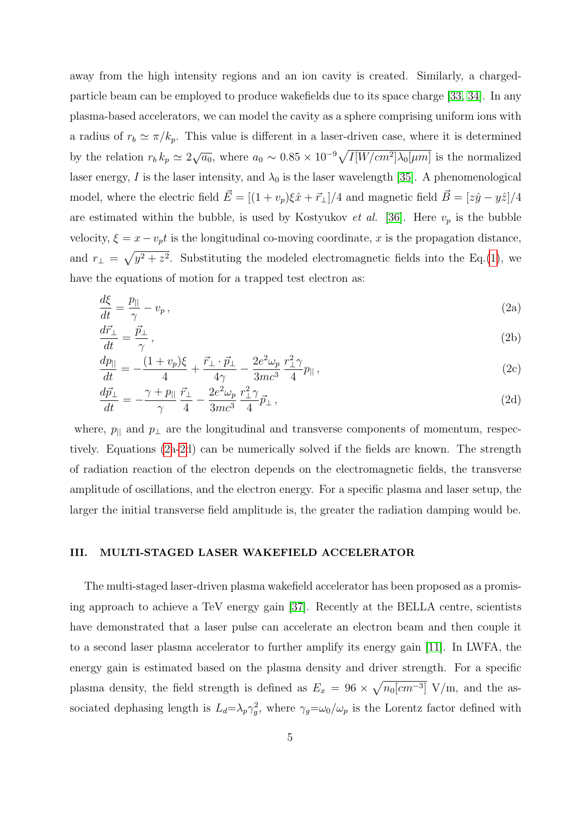away from the high intensity regions and an ion cavity is created. Similarly, a chargedparticle beam can be employed to produce wakefields due to its space charge [\[33,](#page-14-8) [34\]](#page-15-0). In any plasma-based accelerators, we can model the cavity as a sphere comprising uniform ions with a radius of  $r_b \simeq \pi/k_p$ . This value is different in a laser-driven case, where it is determined by the relation  $r_b k_p \simeq 2\sqrt{a_0}$ , where  $a_0 \sim 0.85 \times 10^{-9} \sqrt{I[W/cm^2] \lambda_0[\mu m]}$  is the normalized laser energy, I is the laser intensity, and  $\lambda_0$  is the laser wavelength [\[35\]](#page-15-1). A phenomenological model, where the electric field  $\vec{E} = [(1 + v_p)\xi \hat{x} + \vec{r}_\perp]/4$  and magnetic field  $\vec{B} = [z\hat{y} - y\hat{z}]/4$ are estimated within the bubble, is used by Kostyukov *et al.* [\[36\]](#page-15-2). Here  $v_p$  is the bubble velocity,  $\xi = x - v_p t$  is the longitudinal co-moving coordinate, x is the propagation distance, and  $r_{\perp} = \sqrt{y^2 + z^2}$ . Substituting the modeled electromagnetic fields into the Eq.[\(1\)](#page-3-1), we have the equations of motion for a trapped test electron as:

$$
\frac{d\xi}{dt} = \frac{p_{\parallel}}{\gamma} - v_p \,,\tag{2a}
$$

$$
\frac{d\vec{r}_{\perp}}{dt} = \frac{\vec{p}_{\perp}}{\gamma} \,,\tag{2b}
$$

<span id="page-4-1"></span>
$$
\frac{dp_{\parallel}}{dt} = -\frac{(1+v_p)\xi}{4} + \frac{\vec{r}_{\perp}\cdot\vec{p}_{\perp}}{4\gamma} - \frac{2e^2\omega_p}{3mc^3}\frac{r_{\perp}^2\gamma}{4}p_{\parallel},\tag{2c}
$$

$$
\frac{d\vec{p}_{\perp}}{dt} = -\frac{\gamma + p_{\parallel}}{\gamma} \frac{\vec{r}_{\perp}}{4} - \frac{2e^2 \omega_p}{3mc^3} \frac{r_{\perp}^2 \gamma}{4} \vec{p}_{\perp} \,, \tag{2d}
$$

where,  $p_{\parallel}$  and  $p_{\perp}$  are the longitudinal and transverse components of momentum, respectively. Equations [\(2a-2d](#page-4-1)) can be numerically solved if the fields are known. The strength of radiation reaction of the electron depends on the electromagnetic fields, the transverse amplitude of oscillations, and the electron energy. For a specific plasma and laser setup, the larger the initial transverse field amplitude is, the greater the radiation damping would be.

## <span id="page-4-0"></span>III. MULTI-STAGED LASER WAKEFIELD ACCELERATOR

The multi-staged laser-driven plasma wakefield accelerator has been proposed as a promising approach to achieve a TeV energy gain [\[37\]](#page-15-3). Recently at the BELLA centre, scientists have demonstrated that a laser pulse can accelerate an electron beam and then couple it to a second laser plasma accelerator to further amplify its energy gain [\[11\]](#page-12-2). In LWFA, the energy gain is estimated based on the plasma density and driver strength. For a specific plasma density, the field strength is defined as  $E_x = 96 \times \sqrt{n_0 [cm^{-3}]}$  V/m, and the associated dephasing length is  $L_d = \lambda_p \gamma_g^2$ , where  $\gamma_g = \omega_0/\omega_p$  is the Lorentz factor defined with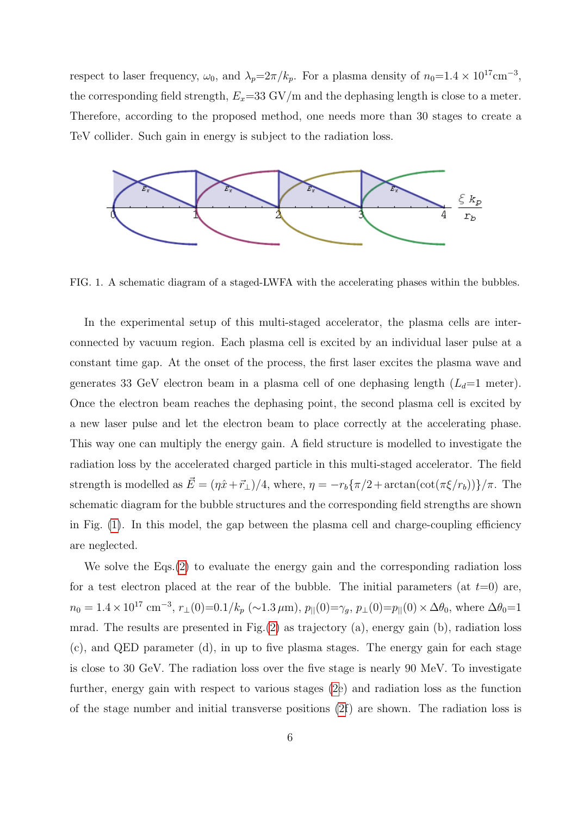respect to laser frequency,  $\omega_0$ , and  $\lambda_p = 2\pi/k_p$ . For a plasma density of  $n_0 = 1.4 \times 10^{17}$ cm<sup>-3</sup>, the corresponding field strength,  $E_x=33 \text{ GV/m}$  and the dephasing length is close to a meter. Therefore, according to the proposed method, one needs more than 30 stages to create a TeV collider. Such gain in energy is subject to the radiation loss.



<span id="page-5-0"></span>FIG. 1. A schematic diagram of a staged-LWFA with the accelerating phases within the bubbles.

In the experimental setup of this multi-staged accelerator, the plasma cells are interconnected by vacuum region. Each plasma cell is excited by an individual laser pulse at a constant time gap. At the onset of the process, the first laser excites the plasma wave and generates 33 GeV electron beam in a plasma cell of one dephasing length  $(L_d=1 \text{ meter})$ . Once the electron beam reaches the dephasing point, the second plasma cell is excited by a new laser pulse and let the electron beam to place correctly at the accelerating phase. This way one can multiply the energy gain. A field structure is modelled to investigate the radiation loss by the accelerated charged particle in this multi-staged accelerator. The field strength is modelled as  $\vec{E} = (\eta \hat{x} + \vec{r}_\perp)/4$ , where,  $\eta = -r_b \{\pi/2 + \arctan(\cot(\pi \xi/r_b))\}/\pi$ . The schematic diagram for the bubble structures and the corresponding field strengths are shown in Fig. [\(1\)](#page-5-0). In this model, the gap between the plasma cell and charge-coupling efficiency are neglected.

We solve the Eqs. [\(2\)](#page-4-1) to evaluate the energy gain and the corresponding radiation loss for a test electron placed at the rear of the bubble. The initial parameters (at  $t=0$ ) are,  $n_0 = 1.4 \times 10^{17}$  cm<sup>-3</sup>,  $r_{\perp}(0) = 0.1/k_p$  (~1.3  $\mu$ m),  $p_{\parallel}(0) = \gamma_g$ ,  $p_{\perp}(0) = p_{\parallel}(0) \times \Delta\theta_0$ , where  $\Delta\theta_0 = 1$ mrad. The results are presented in Fig.[\(2\)](#page-6-1) as trajectory (a), energy gain (b), radiation loss (c), and QED parameter (d), in up to five plasma stages. The energy gain for each stage is close to 30 GeV. The radiation loss over the five stage is nearly 90 MeV. To investigate further, energy gain with respect to various stages [\(2e](#page-6-1)) and radiation loss as the function of the stage number and initial transverse positions [\(2f](#page-6-1)) are shown. The radiation loss is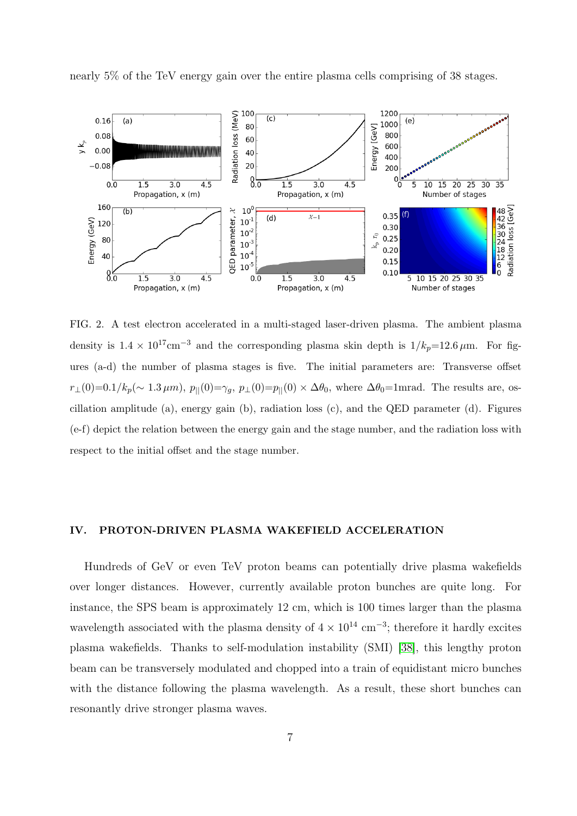nearly 5% of the TeV energy gain over the entire plasma cells comprising of 38 stages.



<span id="page-6-1"></span>FIG. 2. A test electron accelerated in a multi-staged laser-driven plasma. The ambient plasma density is  $1.4 \times 10^{17}$ cm<sup>-3</sup> and the corresponding plasma skin depth is  $1/k_p=12.6 \,\mu$ m. For figures (a-d) the number of plasma stages is five. The initial parameters are: Transverse offset  $r_{\perp}(0)=0.1/k_p(\sim 1.3 \,\mu m), p_{\parallel}(0)=\gamma_g, p_{\perp}(0)=p_{\parallel}(0) \times \Delta\theta_0$ , where  $\Delta\theta_0=1$ mrad. The results are, oscillation amplitude (a), energy gain (b), radiation loss  $(c)$ , and the QED parameter  $(d)$ . Figures (e-f) depict the relation between the energy gain and the stage number, and the radiation loss with respect to the initial offset and the stage number.

## <span id="page-6-0"></span>IV. PROTON-DRIVEN PLASMA WAKEFIELD ACCELERATION

Hundreds of GeV or even TeV proton beams can potentially drive plasma wakefields over longer distances. However, currently available proton bunches are quite long. For instance, the SPS beam is approximately 12 cm, which is 100 times larger than the plasma wavelength associated with the plasma density of  $4 \times 10^{14}$  cm<sup>-3</sup>; therefore it hardly excites plasma wakefields. Thanks to self-modulation instability (SMI) [\[38\]](#page-15-4), this lengthy proton beam can be transversely modulated and chopped into a train of equidistant micro bunches with the distance following the plasma wavelength. As a result, these short bunches can resonantly drive stronger plasma waves.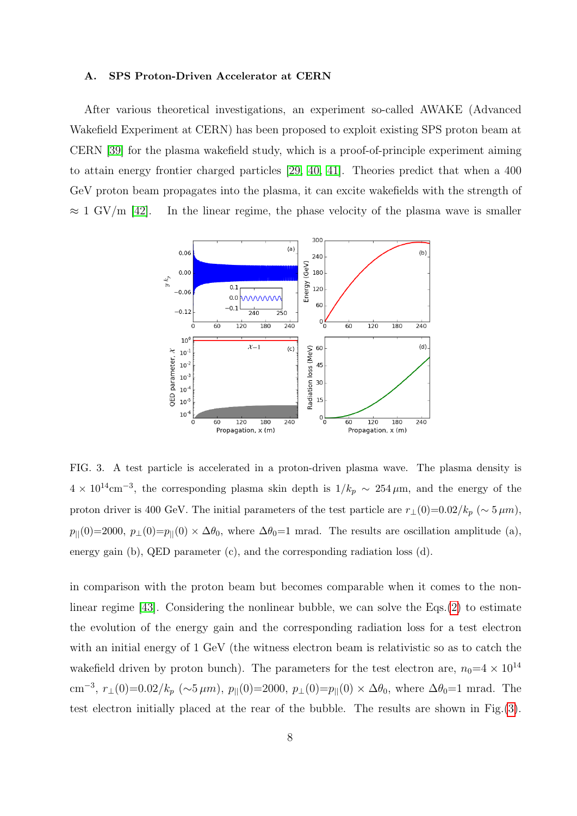#### A. SPS Proton-Driven Accelerator at CERN

After various theoretical investigations, an experiment so-called AWAKE (Advanced Wakefield Experiment at CERN) has been proposed to exploit existing SPS proton beam at CERN [\[39\]](#page-15-5) for the plasma wakefield study, which is a proof-of-principle experiment aiming to attain energy frontier charged particles [\[29,](#page-14-4) [40,](#page-15-6) [41\]](#page-15-7). Theories predict that when a 400 GeV proton beam propagates into the plasma, it can excite wakefields with the strength of  $\approx 1$  GV/m [\[42\]](#page-15-8). In the linear regime, the phase velocity of the plasma wave is smaller



<span id="page-7-0"></span>FIG. 3. A test particle is accelerated in a proton-driven plasma wave. The plasma density is  $4 \times 10^{14}$ cm<sup>-3</sup>, the corresponding plasma skin depth is  $1/k_p \sim 254 \,\mu$ m, and the energy of the proton driver is 400 GeV. The initial parameters of the test particle are  $r_{\perp}(0)=0.02/k_p$  (~  $5 \mu m$ ),  $p_{\parallel}(0)=2000, p_{\perp}(0)=p_{\parallel}(0) \times \Delta\theta_0$ , where  $\Delta\theta_0=1$  mrad. The results are oscillation amplitude (a), energy gain (b), QED parameter (c), and the corresponding radiation loss (d).

in comparison with the proton beam but becomes comparable when it comes to the nonlinear regime [\[43\]](#page-15-9). Considering the nonlinear bubble, we can solve the Eqs.[\(2\)](#page-4-1) to estimate the evolution of the energy gain and the corresponding radiation loss for a test electron with an initial energy of 1 GeV (the witness electron beam is relativistic so as to catch the wakefield driven by proton bunch). The parameters for the test electron are,  $n_0=4\times 10^{14}$ cm<sup>-3</sup>,  $r_{\perp}(0)=0.02/k_p~(\sim 5 \,\mu m)$ ,  $p_{\parallel}(0)=2000$ ,  $p_{\perp}(0)=p_{\parallel}(0) \times \Delta \theta_0$ , where  $\Delta \theta_0=1$  mrad. The test electron initially placed at the rear of the bubble. The results are shown in Fig.[\(3\)](#page-7-0).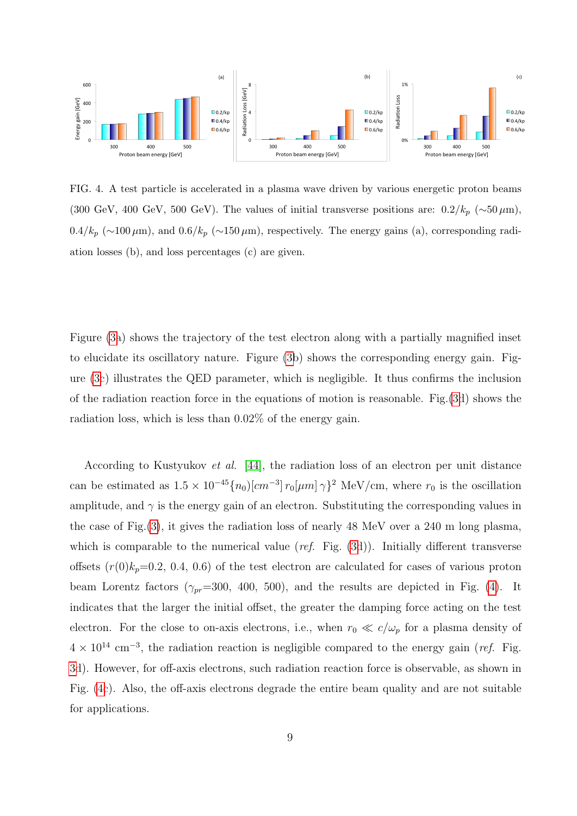

<span id="page-8-0"></span>FIG. 4. A test particle is accelerated in a plasma wave driven by various energetic proton beams (300 GeV, 400 GeV, 500 GeV). The values of initial transverse positions are:  $0.2/k_p$  (∼50  $\mu$ m),  $0.4/k_p$  (∼100  $\mu$ m), and  $0.6/k_p$  (∼150  $\mu$ m), respectively. The energy gains (a), corresponding radiation losses (b), and loss percentages (c) are given.

Figure [\(3a](#page-7-0)) shows the trajectory of the test electron along with a partially magnified inset to elucidate its oscillatory nature. Figure [\(3b](#page-7-0)) shows the corresponding energy gain. Figure [\(3c](#page-7-0)) illustrates the QED parameter, which is negligible. It thus confirms the inclusion of the radiation reaction force in the equations of motion is reasonable. Fig.[\(3d](#page-7-0)) shows the radiation loss, which is less than 0.02% of the energy gain.

According to Kustyukov et al. [\[44\]](#page-15-10), the radiation loss of an electron per unit distance can be estimated as  $1.5 \times 10^{-45} \{n_0\} [cm^{-3}] r_0 [\mu m] \gamma \}^2$  MeV/cm, where  $r_0$  is the oscillation amplitude, and  $\gamma$  is the energy gain of an electron. Substituting the corresponding values in the case of Fig.[\(3\)](#page-7-0), it gives the radiation loss of nearly 48 MeV over a 240 m long plasma, which is comparable to the numerical value (ref. Fig.  $(3d)$  $(3d)$ ). Initially different transverse offsets  $(r(0)k_p=0.2, 0.4, 0.6)$  of the test electron are calculated for cases of various proton beam Lorentz factors ( $\gamma_{pr}=300, 400, 500$ ), and the results are depicted in Fig. [\(4\)](#page-8-0). It indicates that the larger the initial offset, the greater the damping force acting on the test electron. For the close to on-axis electrons, i.e., when  $r_0 \ll c/\omega_p$  for a plasma density of  $4 \times 10^{14}$  cm<sup>-3</sup>, the radiation reaction is negligible compared to the energy gain (*ref.* Fig. [3d](#page-7-0)). However, for off-axis electrons, such radiation reaction force is observable, as shown in Fig. [\(4c](#page-8-0)). Also, the off-axis electrons degrade the entire beam quality and are not suitable for applications.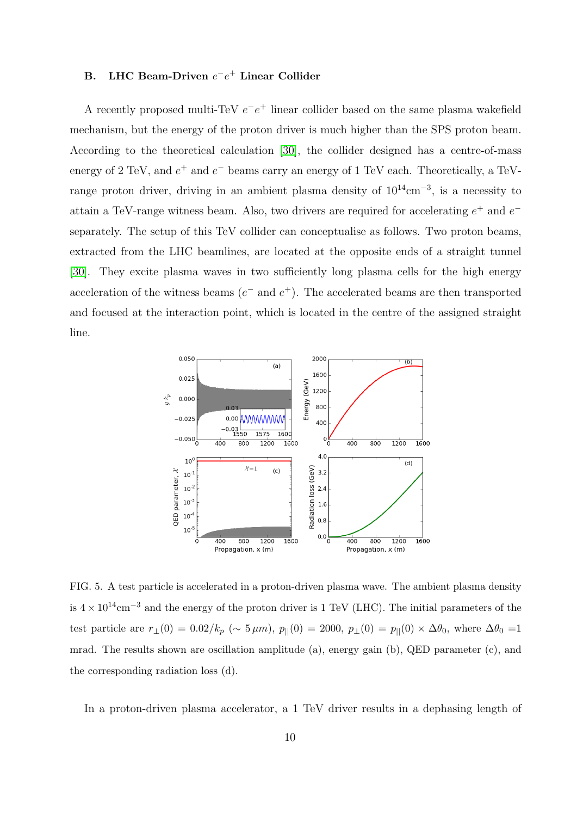## B. LHC Beam-Driven  $e^-e^+$  Linear Collider

A recently proposed multi-TeV  $e^-e^+$  linear collider based on the same plasma wakefield mechanism, but the energy of the proton driver is much higher than the SPS proton beam. According to the theoretical calculation [\[30\]](#page-14-5), the collider designed has a centre-of-mass energy of 2 TeV, and  $e^+$  and  $e^-$  beams carry an energy of 1 TeV each. Theoretically, a TeVrange proton driver, driving in an ambient plasma density of  $10^{14}$ cm<sup>-3</sup>, is a necessity to attain a TeV-range witness beam. Also, two drivers are required for accelerating  $e^+$  and  $e^$ separately. The setup of this TeV collider can conceptualise as follows. Two proton beams, extracted from the LHC beamlines, are located at the opposite ends of a straight tunnel [\[30\]](#page-14-5). They excite plasma waves in two sufficiently long plasma cells for the high energy acceleration of the witness beams  $(e^-$  and  $e^+)$ . The accelerated beams are then transported and focused at the interaction point, which is located in the centre of the assigned straight line.



<span id="page-9-0"></span>FIG. 5. A test particle is accelerated in a proton-driven plasma wave. The ambient plasma density is  $4 \times 10^{14}$ cm<sup>-3</sup> and the energy of the proton driver is 1 TeV (LHC). The initial parameters of the test particle are  $r_{\perp}(0) = 0.02/k_p$  (~ 5  $\mu$ m),  $p_{\parallel}(0) = 2000$ ,  $p_{\perp}(0) = p_{\parallel}(0) \times \Delta\theta_0$ , where  $\Delta\theta_0 = 1$ mrad. The results shown are oscillation amplitude (a), energy gain (b), QED parameter (c), and the corresponding radiation loss (d).

In a proton-driven plasma accelerator, a 1 TeV driver results in a dephasing length of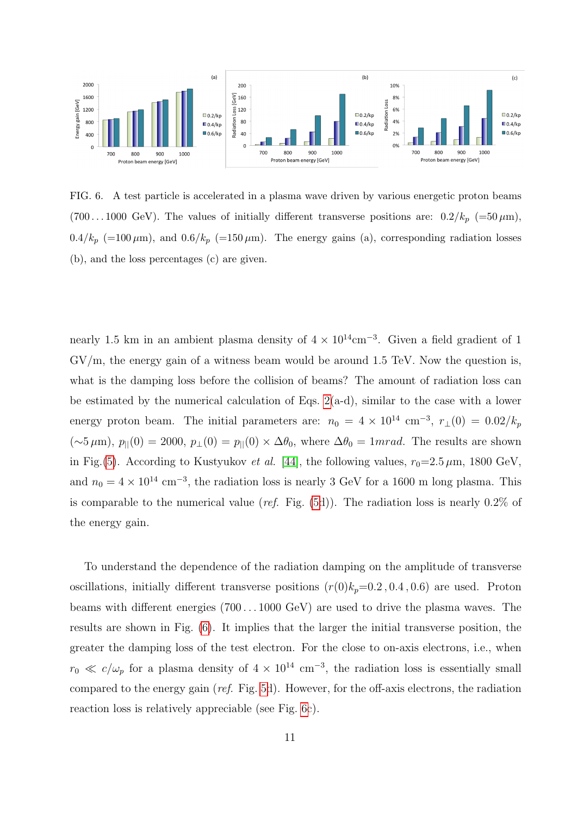

<span id="page-10-0"></span>FIG. 6. A test particle is accelerated in a plasma wave driven by various energetic proton beams (700...1000 GeV). The values of initially different transverse positions are:  $0.2/k_p$  (=50  $\mu$ m),  $0.4/k_p$  (=100  $\mu$ m), and  $0.6/k_p$  (=150  $\mu$ m). The energy gains (a), corresponding radiation losses (b), and the loss percentages (c) are given.

nearly 1.5 km in an ambient plasma density of  $4 \times 10^{14}$ cm<sup>-3</sup>. Given a field gradient of 1  $\rm GV/m$ , the energy gain of a witness beam would be around 1.5 TeV. Now the question is, what is the damping loss before the collision of beams? The amount of radiation loss can be estimated by the numerical calculation of Eqs.  $2(a-d)$ , similar to the case with a lower energy proton beam. The initial parameters are:  $n_0 = 4 \times 10^{14}$  cm<sup>-3</sup>,  $r_{\perp}(0) = 0.02/k_p$  $(\sim 5 \,\mu\text{m})$ ,  $p_{\parallel}(0) = 2000$ ,  $p_{\perp}(0) = p_{\parallel}(0) \times \Delta\theta_0$ , where  $\Delta\theta_0 = 1 mrad$ . The results are shown in Fig.[\(5\)](#page-9-0). According to Kustyukov et al. [\[44\]](#page-15-10), the following values,  $r_0=2.5 \,\mu \text{m}$ , 1800 GeV, and  $n_0 = 4 \times 10^{14}$  cm<sup>-3</sup>, the radiation loss is nearly 3 GeV for a 1600 m long plasma. This is comparable to the numerical value (ref. Fig.  $(5d)$  $(5d)$ ). The radiation loss is nearly 0.2% of the energy gain.

To understand the dependence of the radiation damping on the amplitude of transverse oscillations, initially different transverse positions  $(r(0)k_p=0.2, 0.4, 0.6)$  are used. Proton beams with different energies (700 . . . 1000 GeV) are used to drive the plasma waves. The results are shown in Fig. [\(6\)](#page-10-0). It implies that the larger the initial transverse position, the greater the damping loss of the test electron. For the close to on-axis electrons, i.e., when  $r_0 \ll c/\omega_p$  for a plasma density of  $4 \times 10^{14}$  cm<sup>-3</sup>, the radiation loss is essentially small compared to the energy gain (ref. Fig. [5d](#page-9-0)). However, for the off-axis electrons, the radiation reaction loss is relatively appreciable (see Fig. [6c](#page-10-0)).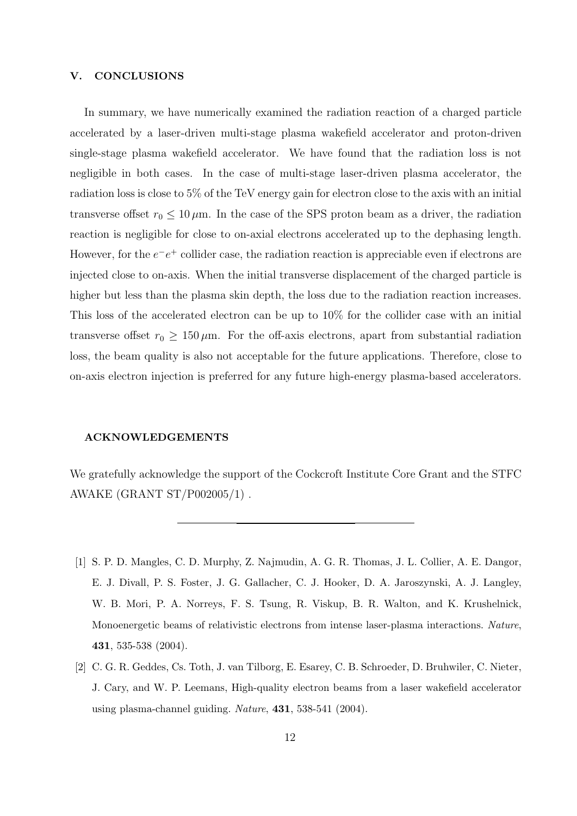### <span id="page-11-1"></span>V. CONCLUSIONS

In summary, we have numerically examined the radiation reaction of a charged particle accelerated by a laser-driven multi-stage plasma wakefield accelerator and proton-driven single-stage plasma wakefield accelerator. We have found that the radiation loss is not negligible in both cases. In the case of multi-stage laser-driven plasma accelerator, the radiation loss is close to 5% of the TeV energy gain for electron close to the axis with an initial transverse offset  $r_0 \leq 10 \,\mu$ m. In the case of the SPS proton beam as a driver, the radiation reaction is negligible for close to on-axial electrons accelerated up to the dephasing length. However, for the  $e^-e^+$  collider case, the radiation reaction is appreciable even if electrons are injected close to on-axis. When the initial transverse displacement of the charged particle is higher but less than the plasma skin depth, the loss due to the radiation reaction increases. This loss of the accelerated electron can be up to 10% for the collider case with an initial transverse offset  $r_0 \geq 150 \,\mu$ m. For the off-axis electrons, apart from substantial radiation loss, the beam quality is also not acceptable for the future applications. Therefore, close to on-axis electron injection is preferred for any future high-energy plasma-based accelerators.

#### ACKNOWLEDGEMENTS

We gratefully acknowledge the support of the Cockcroft Institute Core Grant and the STFC AWAKE (GRANT ST/P002005/1) .

- <span id="page-11-0"></span>[1] S. P. D. Mangles, C. D. Murphy, Z. Najmudin, A. G. R. Thomas, J. L. Collier, A. E. Dangor, E. J. Divall, P. S. Foster, J. G. Gallacher, C. J. Hooker, D. A. Jaroszynski, A. J. Langley, W. B. Mori, P. A. Norreys, F. S. Tsung, R. Viskup, B. R. Walton, and K. Krushelnick, Monoenergetic beams of relativistic electrons from intense laser-plasma interactions. Nature, 431, 535-538 (2004).
- [2] C. G. R. Geddes, Cs. Toth, J. van Tilborg, E. Esarey, C. B. Schroeder, D. Bruhwiler, C. Nieter, J. Cary, and W. P. Leemans, High-quality electron beams from a laser wakefield accelerator using plasma-channel guiding. Nature, 431, 538-541 (2004).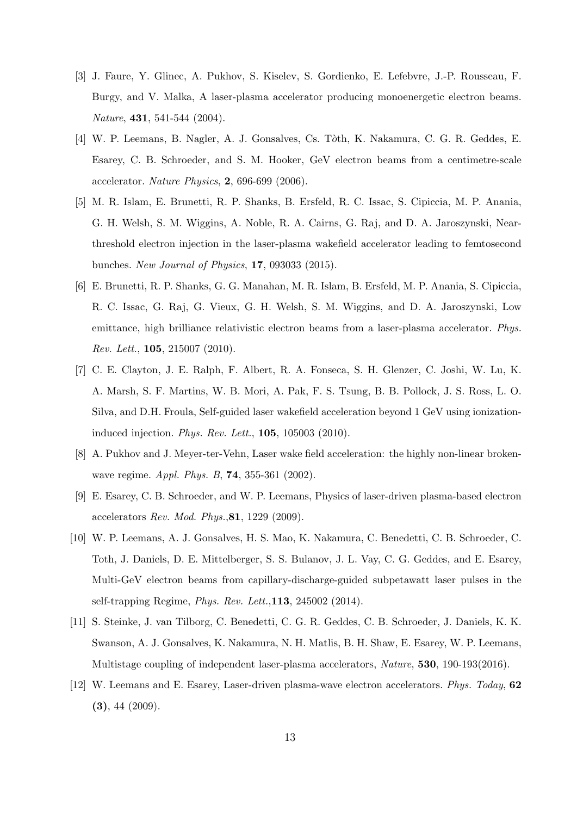- [3] J. Faure, Y. Glinec, A. Pukhov, S. Kiselev, S. Gordienko, E. Lefebvre, J.-P. Rousseau, F. Burgy, and V. Malka, A laser-plasma accelerator producing monoenergetic electron beams. Nature, 431, 541-544 (2004).
- [4] W. P. Leemans, B. Nagler, A. J. Gonsalves, Cs. T`oth, K. Nakamura, C. G. R. Geddes, E. Esarey, C. B. Schroeder, and S. M. Hooker, GeV electron beams from a centimetre-scale accelerator. Nature Physics, 2, 696-699 (2006).
- [5] M. R. Islam, E. Brunetti, R. P. Shanks, B. Ersfeld, R. C. Issac, S. Cipiccia, M. P. Anania, G. H. Welsh, S. M. Wiggins, A. Noble, R. A. Cairns, G. Raj, and D. A. Jaroszynski, Nearthreshold electron injection in the laser-plasma wakefield accelerator leading to femtosecond bunches. New Journal of Physics, 17, 093033 (2015).
- [6] E. Brunetti, R. P. Shanks, G. G. Manahan, M. R. Islam, B. Ersfeld, M. P. Anania, S. Cipiccia, R. C. Issac, G. Raj, G. Vieux, G. H. Welsh, S. M. Wiggins, and D. A. Jaroszynski, Low emittance, high brilliance relativistic electron beams from a laser-plasma accelerator. Phys. Rev. Lett., 105, 215007 (2010).
- [7] C. E. Clayton, J. E. Ralph, F. Albert, R. A. Fonseca, S. H. Glenzer, C. Joshi, W. Lu, K. A. Marsh, S. F. Martins, W. B. Mori, A. Pak, F. S. Tsung, B. B. Pollock, J. S. Ross, L. O. Silva, and D.H. Froula, Self-guided laser wakefield acceleration beyond 1 GeV using ionizationinduced injection. Phys. Rev. Lett., 105, 105003 (2010).
- [8] A. Pukhov and J. Meyer-ter-Vehn, Laser wake field acceleration: the highly non-linear brokenwave regime. Appl. Phys. B, 74, 355-361 (2002).
- <span id="page-12-0"></span>[9] E. Esarey, C. B. Schroeder, and W. P. Leemans, Physics of laser-driven plasma-based electron accelerators Rev. Mod. Phys.,81, 1229 (2009).
- <span id="page-12-1"></span>[10] W. P. Leemans, A. J. Gonsalves, H. S. Mao, K. Nakamura, C. Benedetti, C. B. Schroeder, C. Toth, J. Daniels, D. E. Mittelberger, S. S. Bulanov, J. L. Vay, C. G. Geddes, and E. Esarey, Multi-GeV electron beams from capillary-discharge-guided subpetawatt laser pulses in the self-trapping Regime, Phys. Rev. Lett.,113, 245002 (2014).
- <span id="page-12-2"></span>[11] S. Steinke, J. van Tilborg, C. Benedetti, C. G. R. Geddes, C. B. Schroeder, J. Daniels, K. K. Swanson, A. J. Gonsalves, K. Nakamura, N. H. Matlis, B. H. Shaw, E. Esarey, W. P. Leemans, Multistage coupling of independent laser-plasma accelerators, Nature, 530, 190-193(2016).
- <span id="page-12-3"></span>[12] W. Leemans and E. Esarey, Laser-driven plasma-wave electron accelerators. Phys. Today, 62 (3), 44 (2009).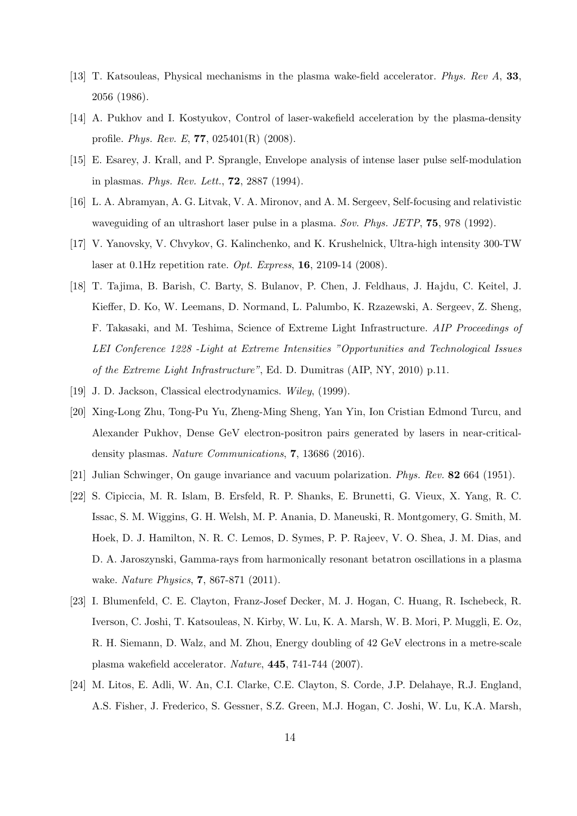- <span id="page-13-0"></span>[13] T. Katsouleas, Physical mechanisms in the plasma wake-field accelerator. Phys. Rev A, 33, 2056 (1986).
- <span id="page-13-1"></span>[14] A. Pukhov and I. Kostyukov, Control of laser-wakefield acceleration by the plasma-density profile. Phys. Rev. E, 77, 025401(R) (2008).
- <span id="page-13-2"></span>[15] E. Esarey, J. Krall, and P. Sprangle, Envelope analysis of intense laser pulse self-modulation in plasmas. Phys. Rev. Lett., 72, 2887 (1994).
- <span id="page-13-3"></span>[16] L. A. Abramyan, A. G. Litvak, V. A. Mironov, and A. M. Sergeev, Self-focusing and relativistic waveguiding of an ultrashort laser pulse in a plasma. Sov. Phys. JETP, **75**, 978 (1992).
- <span id="page-13-4"></span>[17] V. Yanovsky, V. Chvykov, G. Kalinchenko, and K. Krushelnick, Ultra-high intensity 300-TW laser at 0.1Hz repetition rate. Opt. Express, 16, 2109-14 (2008).
- <span id="page-13-5"></span>[18] T. Tajima, B. Barish, C. Barty, S. Bulanov, P. Chen, J. Feldhaus, J. Hajdu, C. Keitel, J. Kieffer, D. Ko, W. Leemans, D. Normand, L. Palumbo, K. Rzazewski, A. Sergeev, Z. Sheng, F. Takasaki, and M. Teshima, Science of Extreme Light Infrastructure. AIP Proceedings of LEI Conference 1228 -Light at Extreme Intensities "Opportunities and Technological Issues of the Extreme Light Infrastructure", Ed. D. Dumitras (AIP, NY, 2010) p.11.
- <span id="page-13-7"></span><span id="page-13-6"></span>[19] J. D. Jackson, Classical electrodynamics. Wiley, (1999).
- [20] Xing-Long Zhu, Tong-Pu Yu, Zheng-Ming Sheng, Yan Yin, Ion Cristian Edmond Turcu, and Alexander Pukhov, Dense GeV electron-positron pairs generated by lasers in near-criticaldensity plasmas. Nature Communications, 7, 13686 (2016).
- <span id="page-13-9"></span><span id="page-13-8"></span>[21] Julian Schwinger, On gauge invariance and vacuum polarization. Phys. Rev. 82 664 (1951).
- [22] S. Cipiccia, M. R. Islam, B. Ersfeld, R. P. Shanks, E. Brunetti, G. Vieux, X. Yang, R. C. Issac, S. M. Wiggins, G. H. Welsh, M. P. Anania, D. Maneuski, R. Montgomery, G. Smith, M. Hoek, D. J. Hamilton, N. R. C. Lemos, D. Symes, P. P. Rajeev, V. O. Shea, J. M. Dias, and D. A. Jaroszynski, Gamma-rays from harmonically resonant betatron oscillations in a plasma wake. Nature Physics, 7, 867-871 (2011).
- <span id="page-13-10"></span>[23] I. Blumenfeld, C. E. Clayton, Franz-Josef Decker, M. J. Hogan, C. Huang, R. Ischebeck, R. Iverson, C. Joshi, T. Katsouleas, N. Kirby, W. Lu, K. A. Marsh, W. B. Mori, P. Muggli, E. Oz, R. H. Siemann, D. Walz, and M. Zhou, Energy doubling of 42 GeV electrons in a metre-scale plasma wakefield accelerator. Nature, 445, 741-744 (2007).
- <span id="page-13-11"></span>[24] M. Litos, E. Adli, W. An, C.I. Clarke, C.E. Clayton, S. Corde, J.P. Delahaye, R.J. England, A.S. Fisher, J. Frederico, S. Gessner, S.Z. Green, M.J. Hogan, C. Joshi, W. Lu, K.A. Marsh,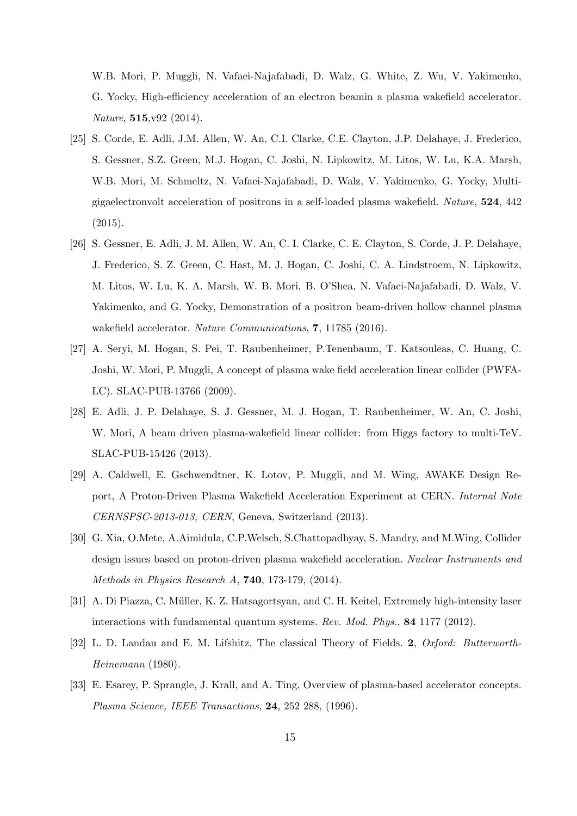W.B. Mori, P. Muggli, N. Vafaei-Najafabadi, D. Walz, G. White, Z. Wu, V. Yakimenko, G. Yocky, High-efficiency acceleration of an electron beamin a plasma wakefield accelerator. Nature, 515,v92 (2014).

- <span id="page-14-0"></span>[25] S. Corde, E. Adli, J.M. Allen, W. An, C.I. Clarke, C.E. Clayton, J.P. Delahaye, J. Frederico, S. Gessner, S.Z. Green, M.J. Hogan, C. Joshi, N. Lipkowitz, M. Litos, W. Lu, K.A. Marsh, W.B. Mori, M. Schmeltz, N. Vafaei-Najafabadi, D. Walz, V. Yakimenko, G. Yocky, Multigigaelectronvolt acceleration of positrons in a self-loaded plasma wakefield. Nature, 524, 442  $(2015).$
- <span id="page-14-1"></span>[26] S. Gessner, E. Adli, J. M. Allen, W. An, C. I. Clarke, C. E. Clayton, S. Corde, J. P. Delahaye, J. Frederico, S. Z. Green, C. Hast, M. J. Hogan, C. Joshi, C. A. Lindstroem, N. Lipkowitz, M. Litos, W. Lu, K. A. Marsh, W. B. Mori, B. O'Shea, N. Vafaei-Najafabadi, D. Walz, V. Yakimenko, and G. Yocky, Demonstration of a positron beam-driven hollow channel plasma wakefield accelerator. Nature Communications, 7, 11785 (2016).
- <span id="page-14-2"></span>[27] A. Seryi, M. Hogan, S. Pei, T. Raubenheimer, P.Tenenbaum, T. Katsouleas, C. Huang, C. Joshi, W. Mori, P. Muggli, A concept of plasma wake field acceleration linear collider (PWFA-LC). SLAC-PUB-13766 (2009).
- <span id="page-14-3"></span>[28] E. Adli, J. P. Delahaye, S. J. Gessner, M. J. Hogan, T. Raubenheimer, W. An, C. Joshi, W. Mori, A beam driven plasma-wakefield linear collider: from Higgs factory to multi-TeV. SLAC-PUB-15426 (2013).
- <span id="page-14-4"></span>[29] A. Caldwell, E. Gschwendtner, K. Lotov, P. Muggli, and M. Wing, AWAKE Design Report, A Proton-Driven Plasma Wakefield Acceleration Experiment at CERN. Internal Note CERNSPSC-2013-013, CERN, Geneva, Switzerland (2013).
- <span id="page-14-5"></span>[30] G. Xia, O.Mete, A.Aimidula, C.P.Welsch, S.Chattopadhyay, S. Mandry, and M.Wing, Collider design issues based on proton-driven plasma wakefield acceleration. Nuclear Instruments and Methods in Physics Research A, 740, 173-179, (2014).
- <span id="page-14-6"></span>[31] A. Di Piazza, C. Müller, K. Z. Hatsagortsyan, and C. H. Keitel, Extremely high-intensity laser interactions with fundamental quantum systems. Rev. Mod. Phys., 84 1177 (2012).
- <span id="page-14-7"></span>[32] L. D. Landau and E. M. Lifshitz, The classical Theory of Fields. 2, Oxford: Butterworth-Heinemann (1980).
- <span id="page-14-8"></span>[33] E. Esarey, P. Sprangle, J. Krall, and A. Ting, Overview of plasma-based accelerator concepts. Plasma Science, IEEE Transactions, 24, 252 288, (1996).